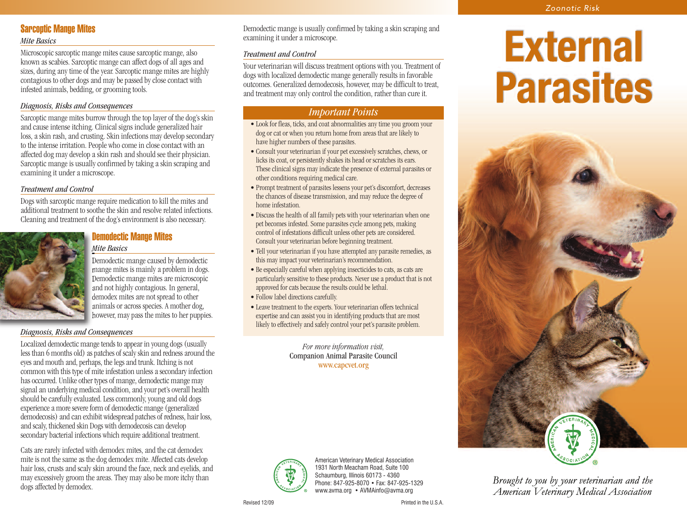# **Sarcoptic Mange Mites**

#### *Mite Basics*

Microscopic sarcoptic mange mites cause sarcoptic mange, also known as scabies. Sarcoptic mange can affect dogs of all ages and sizes, during any time of the year. Sarcoptic mange mites are highly contagious to other dogs and may be passed by close contact with infested animals, bedding, or grooming tools.

## *Diagnosis, Risks and Consequences*

Sarcoptic mange mites burrow through the top layer of the dog's skin and cause intense itching. Clinical signs include generalized hair loss, a skin rash, and crusting. Skin infections may develop secondary to the intense irritation. People who come in close contact with an affected dog may develop a skin rash and should see their physician. Sarcoptic mange is usually confirmed by taking a skin scraping and examining it under a microscope.

## *Treatment and Control*

Dogs with sarcoptic mange require medication to kill the mites and additional treatment to soothe the skin and resolve related infections. Cleaning and treatment of the dog's environment is also necessary.

## **Demodectic Mange Mites** *Mite Basics*



Demodectic mange caused by demodectic mange mites is mainly a problem in dogs. Demodectic mange mites are microscopic and not highly contagious. In general, demodex mites are not spread to other animals or across species. A mother dog, however, may pass the mites to her puppies.

## *Diagnosis, Risks and Consequences*

Localized demodectic mange tends to appear in young dogs (usually less than 6 months old) as patches of scaly skin and redness around the eyes and mouth and, perhaps, the legs and trunk. Itching is not common with this type of mite infestation unless a secondary infection has occurred. Unlike other types of mange, demodectic mange may signal an underlying medical condition, and your pet's overall health should be carefully evaluated. Less commonly, young and old dogs experience a more severe form of demodectic mange (generalized demodecosis) and can exhibit widespread patches of redness, hair loss, and scaly, thickened skin Dogs with demodecosis can develop secondary bacterial infections which require additional treatment.

Cats are rarely infected with demodex mites, and the cat demodex mite is not the same as the dog demodex mite. Affected cats develop hair loss, crusts and scaly skin around the face, neck and eyelids, and may excessively groom the areas. They may also be more itchy than dogs affected by demodex.

Demodectic mange is usually confirmed by taking a skin scraping and examining it under a microscope.

## *Treatment and Control*

Your veterinarian will discuss treatment options with you. Treatment of dogs with localized demodectic mange generally results in favorable outcomes. Generalized demodecosis, however, may be difficult to treat, and treatment may only control the condition, rather than cure it.

# — IMPORTANT POINTS — *Important Points*

- Look for fleas, ticks, and coat abnormalities any time you groom your dog or cat or when you return home from areas that are likely to have higher numbers of these parasites.
- Consult your veterinarian if your pet excessively scratches, chews, or licks its coat, or persistently shakes its head or scratches its ears. These clinical signs may indicate the presence of external parasites or other conditions requiring medical care.
- Prompt treatment of parasites lessens your pet's discomfort, decreases the chances of disease transmission, and may reduce the degree of home infestation.
- Discuss the health of all family pets with your veterinarian when one pet becomes infested. Some parasites cycle among pets, making control of infestations difficult unless other pets are considered. Consult your veterinarian before beginning treatment.
- Tell your veterinarian if you have attempted any parasite remedies, as this may impact your veterinarian's recommendation.
- Be especially careful when applying insecticides to cats, as cats are particularly sensitive to these products. Never use a product that is not approved for cats because the results could be lethal.
- Follow label directions carefully.
- Leave treatment to the experts. Your veterinarian offers technical expertise and can assist you in identifying products that are most likely to effectively and safely control your pet's parasite problem.

*For more information visit,* Companion Animal Parasite Council www.capcvet.org



American Veterinary Medical Association 1931 North Meacham Road, Suite 100 Schaumburg, Illinois 60173 - 4360 Phone: 847-925-8070 • Fax: 847-925-1329 www.avma.org • AVMAinfo@avma.org

# **External Parasites**



Brought to you by your veterinarian and the American Veterinary Medical Association